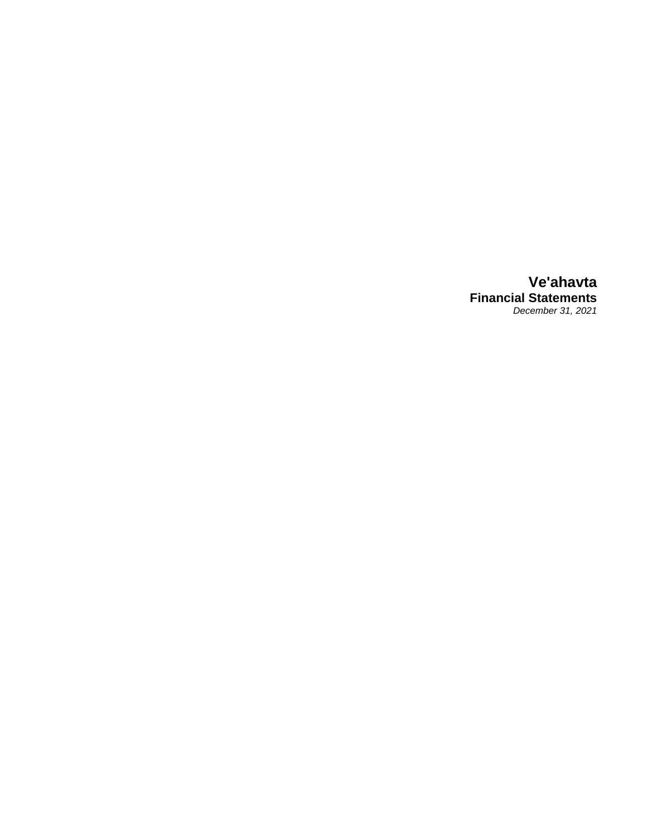**Ve'ahavta Financial Statements** *December 31, 2021*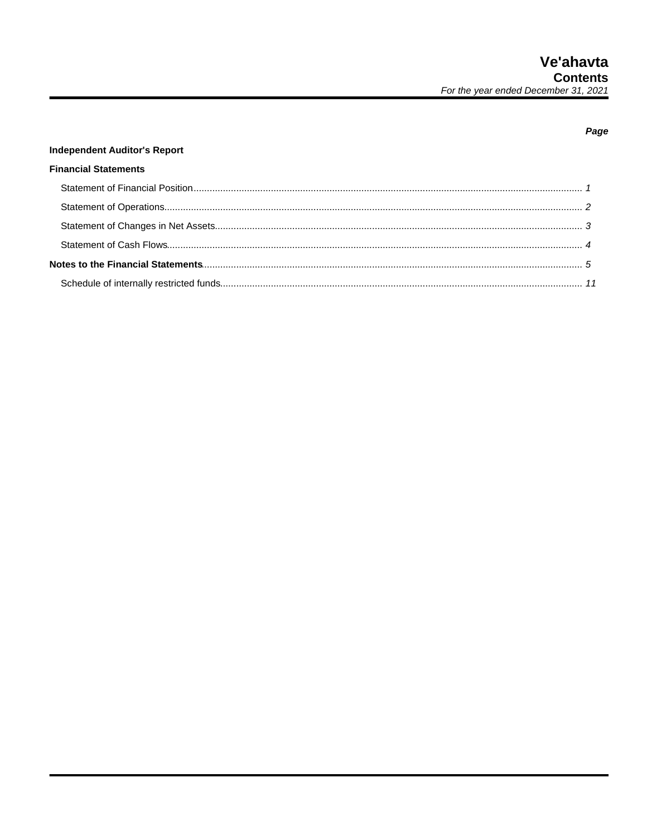## Page

# **Independent Auditor's Report**

# **Financial Statements**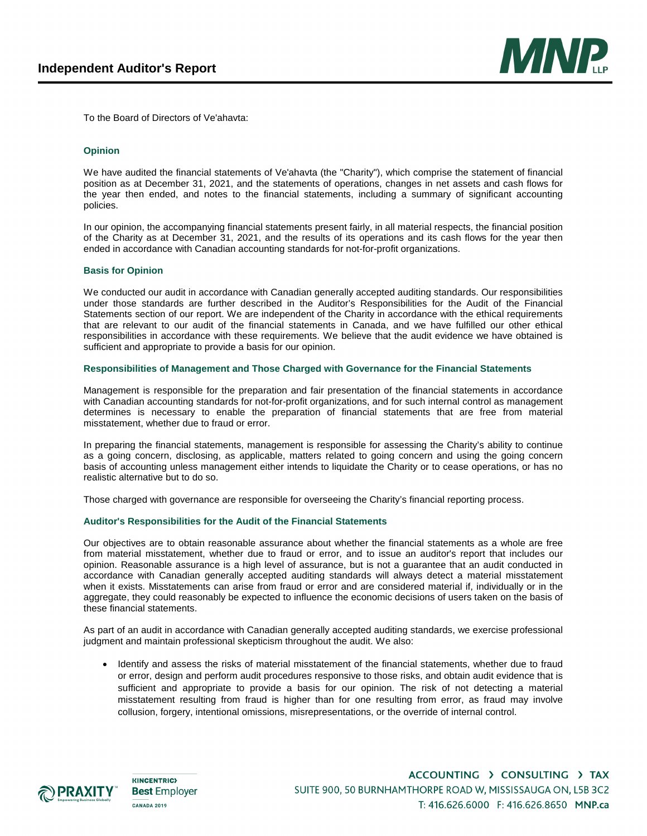

To the Board of Directors of Ve'ahavta:

#### **Opinion**

We have audited the financial statements of Ve'ahavta (the "Charity"), which comprise the statement of financial position as at December 31, 2021, and the statements of operations, changes in net assets and cash flows for the year then ended, and notes to the financial statements, including a summary of significant accounting policies.

In our opinion, the accompanying financial statements present fairly, in all material respects, the financial position of the Charity as at December 31, 2021, and the results of its operations and its cash flows for the year then ended in accordance with Canadian accounting standards for not-for-profit organizations.

#### **Basis for Opinion**

We conducted our audit in accordance with Canadian generally accepted auditing standards. Our responsibilities under those standards are further described in the Auditor's Responsibilities for the Audit of the Financial Statements section of our report. We are independent of the Charity in accordance with the ethical requirements that are relevant to our audit of the financial statements in Canada, and we have fulfilled our other ethical responsibilities in accordance with these requirements. We believe that the audit evidence we have obtained is sufficient and appropriate to provide a basis for our opinion.

#### **Responsibilities of Management and Those Charged with Governance for the Financial Statements**

Management is responsible for the preparation and fair presentation of the financial statements in accordance with Canadian accounting standards for not-for-profit organizations, and for such internal control as management determines is necessary to enable the preparation of financial statements that are free from material misstatement, whether due to fraud or error.

In preparing the financial statements, management is responsible for assessing the Charity's ability to continue as a going concern, disclosing, as applicable, matters related to going concern and using the going concern basis of accounting unless management either intends to liquidate the Charity or to cease operations, or has no realistic alternative but to do so.

Those charged with governance are responsible for overseeing the Charity's financial reporting process.

#### **Auditor's Responsibilities for the Audit of the Financial Statements**

Our objectives are to obtain reasonable assurance about whether the financial statements as a whole are free from material misstatement, whether due to fraud or error, and to issue an auditor's report that includes our opinion. Reasonable assurance is a high level of assurance, but is not a guarantee that an audit conducted in accordance with Canadian generally accepted auditing standards will always detect a material misstatement when it exists. Misstatements can arise from fraud or error and are considered material if, individually or in the aggregate, they could reasonably be expected to influence the economic decisions of users taken on the basis of these financial statements.

As part of an audit in accordance with Canadian generally accepted auditing standards, we exercise professional judgment and maintain professional skepticism throughout the audit. We also:

 Identify and assess the risks of material misstatement of the financial statements, whether due to fraud or error, design and perform audit procedures responsive to those risks, and obtain audit evidence that is sufficient and appropriate to provide a basis for our opinion. The risk of not detecting a material misstatement resulting from fraud is higher than for one resulting from error, as fraud may involve collusion, forgery, intentional omissions, misrepresentations, or the override of internal control.



**KINCENTRIC> Best Employer CANADA 2019** 

ACCOUNTING > CONSULTING > TAX SUITE 900, 50 BURNHAMTHORPE ROAD W, MISSISSAUGA ON, L5B 3C2 T: 416.626.6000 F: 416.626.8650 MNP.ca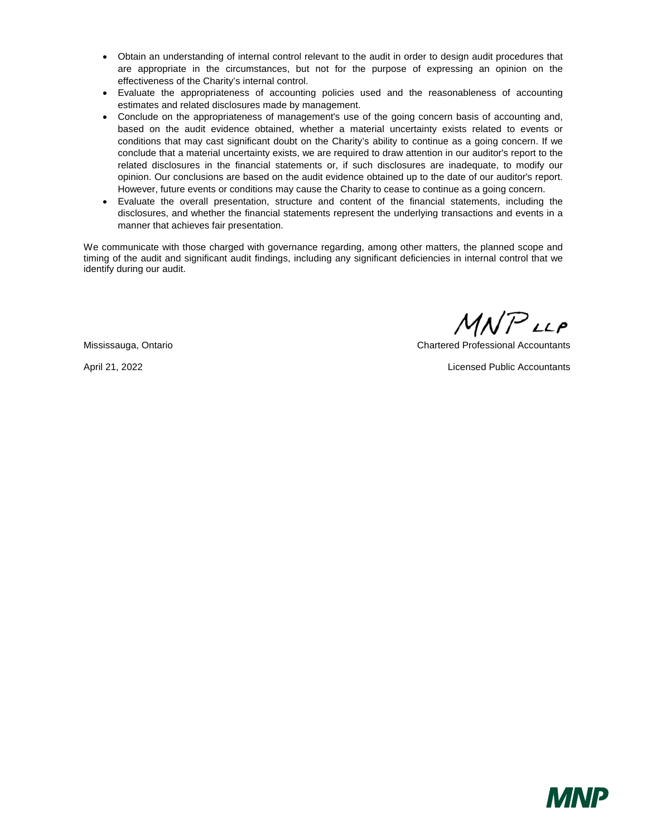- Obtain an understanding of internal control relevant to the audit in order to design audit procedures that are appropriate in the circumstances, but not for the purpose of expressing an opinion on the effectiveness of the Charity's internal control.
- Evaluate the appropriateness of accounting policies used and the reasonableness of accounting estimates and related disclosures made by management.
- Conclude on the appropriateness of management's use of the going concern basis of accounting and, based on the audit evidence obtained, whether a material uncertainty exists related to events or conditions that may cast significant doubt on the Charity's ability to continue as a going concern. If we conclude that a material uncertainty exists, we are required to draw attention in our auditor's report to the related disclosures in the financial statements or, if such disclosures are inadequate, to modify our opinion. Our conclusions are based on the audit evidence obtained up to the date of our auditor's report. However, future events or conditions may cause the Charity to cease to continue as a going concern.
- Evaluate the overall presentation, structure and content of the financial statements, including the disclosures, and whether the financial statements represent the underlying transactions and events in a manner that achieves fair presentation.

We communicate with those charged with governance regarding, among other matters, the planned scope and timing of the audit and significant audit findings, including any significant deficiencies in internal control that we identify during our audit.

 $MNP$ LLP

Mississauga, Ontario Chartered Professional Accountants

April 21, 2022 Licensed Public Accountants

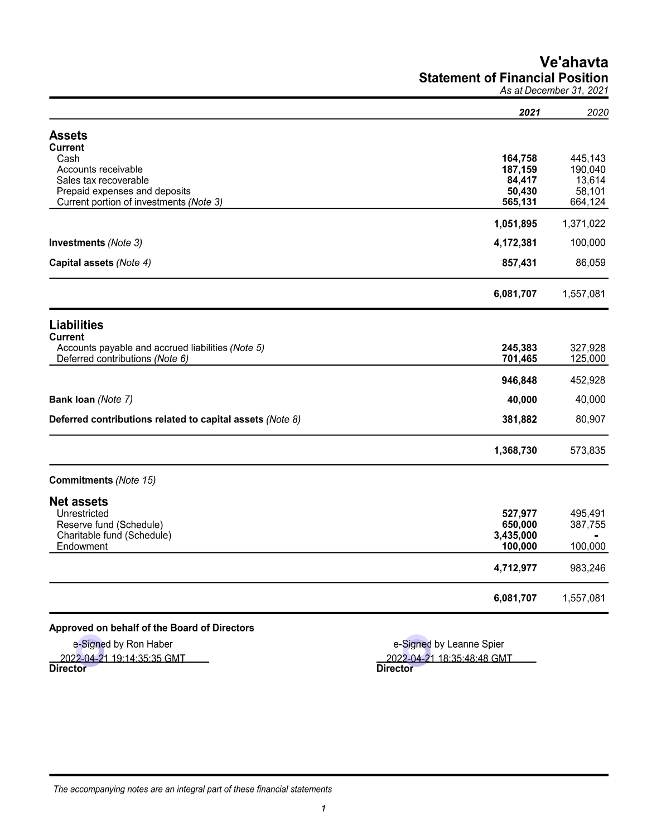# Ve'ahavta **Statement of Financial Position**

As at December 31, 2021

|                                                                                      | 2021                 | 2020               |
|--------------------------------------------------------------------------------------|----------------------|--------------------|
| <b>Assets</b>                                                                        |                      |                    |
| <b>Current</b>                                                                       |                      |                    |
| Cash                                                                                 | 164,758              | 445,143            |
| Accounts receivable<br>Sales tax recoverable                                         | 187,159<br>84,417    | 190,040<br>13,614  |
| Prepaid expenses and deposits                                                        | 50,430               | 58,101             |
| Current portion of investments (Note 3)                                              | 565,131              | 664,124            |
|                                                                                      | 1,051,895            | 1,371,022          |
| <b>Investments (Note 3)</b>                                                          | 4,172,381            | 100,000            |
| Capital assets (Note 4)                                                              | 857,431              | 86,059             |
|                                                                                      | 6,081,707            | 1,557,081          |
| <b>Liabilities</b>                                                                   |                      |                    |
| <b>Current</b>                                                                       |                      |                    |
| Accounts payable and accrued liabilities (Note 5)<br>Deferred contributions (Note 6) | 245,383<br>701,465   | 327,928<br>125,000 |
|                                                                                      |                      |                    |
|                                                                                      | 946,848              | 452,928            |
| Bank loan (Note 7)                                                                   | 40,000               | 40,000             |
| Deferred contributions related to capital assets (Note 8)                            | 381,882              | 80,907             |
|                                                                                      | 1,368,730            | 573,835            |
| <b>Commitments (Note 15)</b>                                                         |                      |                    |
| <b>Net assets</b>                                                                    |                      |                    |
| Unrestricted                                                                         | 527,977              | 495,491            |
| Reserve fund (Schedule)                                                              | 650,000              | 387,755            |
| Charitable fund (Schedule)<br>Endowment                                              | 3,435,000<br>100,000 | 100,000            |
|                                                                                      | 4,712,977            | 983,246            |
|                                                                                      | 6,081,707            | 1,557,081          |

# Approved on behalf of the Board of Directors

e-Signed by Ron Haber 2022-04-21 19:14:35:35 GMT<br>Director

e-Signed by Leanne Spier 2022-04-21 18:35:48:48 GMT **Director**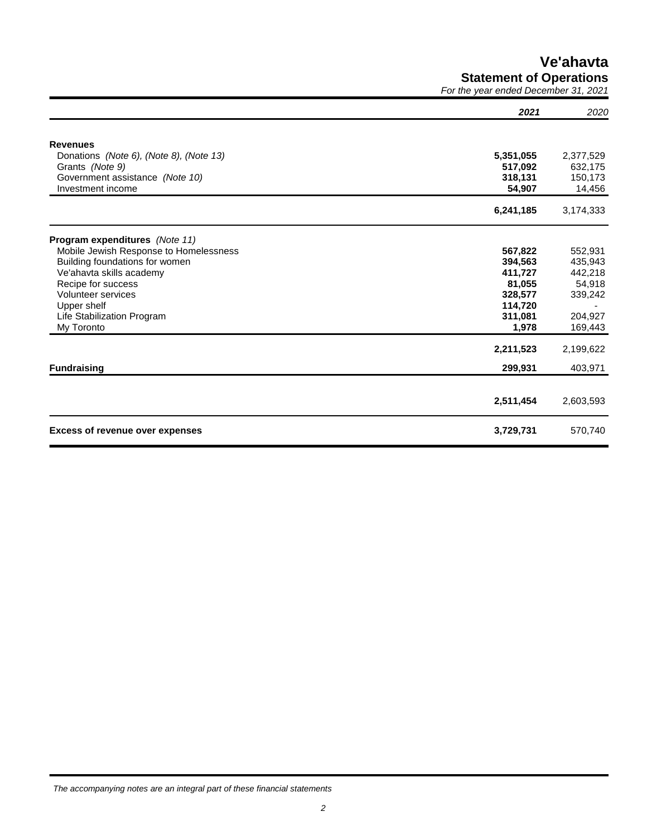**Ve'ahavta Statement of Operations**

*For the year ended December 31, 2021*

|                                         | 2021      | 2020      |
|-----------------------------------------|-----------|-----------|
| <b>Revenues</b>                         |           |           |
| Donations (Note 6), (Note 8), (Note 13) | 5,351,055 | 2,377,529 |
| Grants (Note 9)                         | 517,092   | 632,175   |
| Government assistance (Note 10)         | 318,131   | 150,173   |
| Investment income                       | 54,907    | 14,456    |
|                                         | 6,241,185 | 3,174,333 |
| Program expenditures (Note 11)          |           |           |
| Mobile Jewish Response to Homelessness  | 567,822   | 552,931   |
| Building foundations for women          | 394,563   | 435,943   |
| Ve'ahavta skills academy                | 411,727   | 442,218   |
| Recipe for success                      | 81,055    | 54,918    |
| <b>Volunteer services</b>               | 328,577   | 339,242   |
| Upper shelf                             | 114,720   |           |
| Life Stabilization Program              | 311,081   | 204,927   |
| My Toronto                              | 1,978     | 169,443   |
|                                         | 2,211,523 | 2,199,622 |
| <b>Fundraising</b>                      | 299,931   | 403,971   |
|                                         |           |           |
|                                         | 2,511,454 | 2,603,593 |
| <b>Excess of revenue over expenses</b>  | 3,729,731 | 570,740   |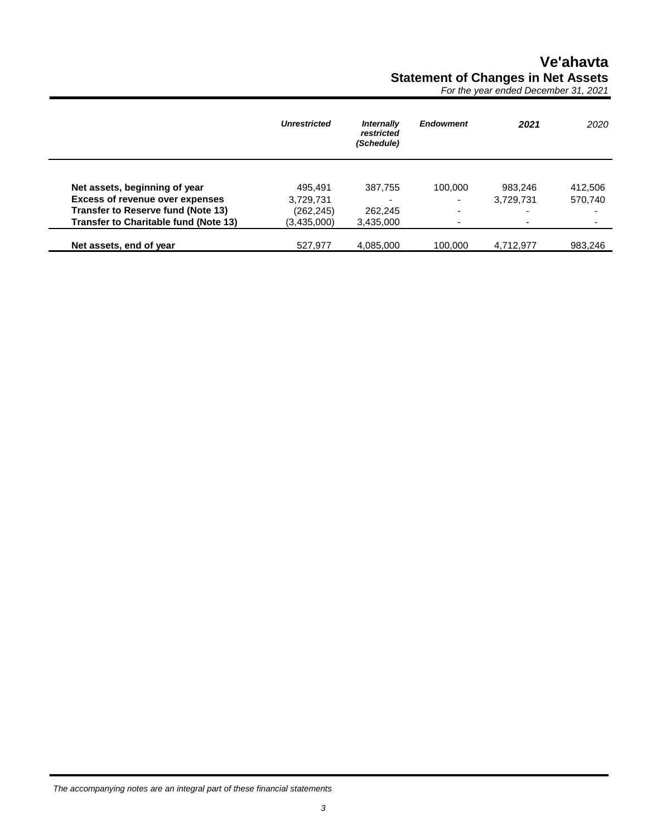# **Ve'ahavta Statement of Changes in Net Assets**

*For the year ended December 31, 2021*

|                                              | <b>Unrestricted</b> | Internally<br>restricted<br>(Schedule) | <b>Endowment</b> | 2021                     | 2020    |
|----------------------------------------------|---------------------|----------------------------------------|------------------|--------------------------|---------|
|                                              |                     |                                        |                  |                          |         |
| Net assets, beginning of year                | 495.491             | 387,755                                | 100,000          | 983.246                  | 412,506 |
| <b>Excess of revenue over expenses</b>       | 3,729,731           |                                        | ۰                | 3,729,731                | 570,740 |
| Transfer to Reserve fund (Note 13)           | (262,245)           | 262,245                                | ۰                |                          |         |
| <b>Transfer to Charitable fund (Note 13)</b> | (3,435,000)         | 3,435,000                              | ٠                | $\overline{\phantom{0}}$ |         |
| Net assets, end of year                      | 527,977             | 4,085,000                              | 100,000          | 4,712,977                | 983,246 |

*The accompanying notes are an integral part of these financial statements*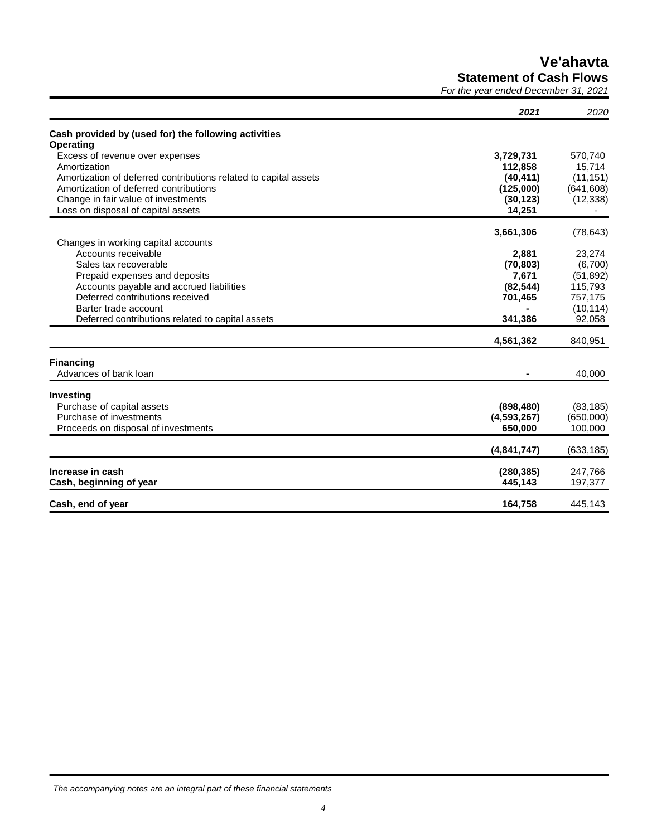**Ve'ahavta**

**Statement of Cash Flows**

*For the year ended December 31, 2021*

|                                                                  | 2021        | 2020       |
|------------------------------------------------------------------|-------------|------------|
| Cash provided by (used for) the following activities             |             |            |
| <b>Operating</b>                                                 |             |            |
| Excess of revenue over expenses                                  | 3,729,731   | 570.740    |
| Amortization                                                     | 112,858     | 15,714     |
| Amortization of deferred contributions related to capital assets | (40, 411)   | (11, 151)  |
| Amortization of deferred contributions                           | (125,000)   | (641, 608) |
| Change in fair value of investments                              | (30, 123)   | (12, 338)  |
| Loss on disposal of capital assets                               | 14,251      |            |
|                                                                  | 3,661,306   | (78, 643)  |
| Changes in working capital accounts                              |             |            |
| Accounts receivable                                              | 2,881       | 23,274     |
| Sales tax recoverable                                            | (70, 803)   | (6,700)    |
| Prepaid expenses and deposits                                    | 7,671       | (51, 892)  |
| Accounts payable and accrued liabilities                         | (82, 544)   | 115,793    |
| Deferred contributions received                                  | 701,465     | 757,175    |
| Barter trade account                                             |             | (10, 114)  |
| Deferred contributions related to capital assets                 | 341,386     | 92,058     |
|                                                                  | 4,561,362   | 840,951    |
| <b>Financing</b>                                                 |             |            |
| Advances of bank loan                                            |             | 40,000     |
| Investing                                                        |             |            |
| Purchase of capital assets                                       | (898, 480)  | (83, 185)  |
| Purchase of investments                                          | (4,593,267) | (650,000)  |
| Proceeds on disposal of investments                              | 650,000     | 100,000    |
|                                                                  |             |            |
|                                                                  | (4,841,747) | (633, 185) |
| Increase in cash                                                 | (280, 385)  | 247,766    |
| Cash, beginning of year                                          | 445,143     | 197,377    |
| Cash, end of year                                                | 164.758     | 445,143    |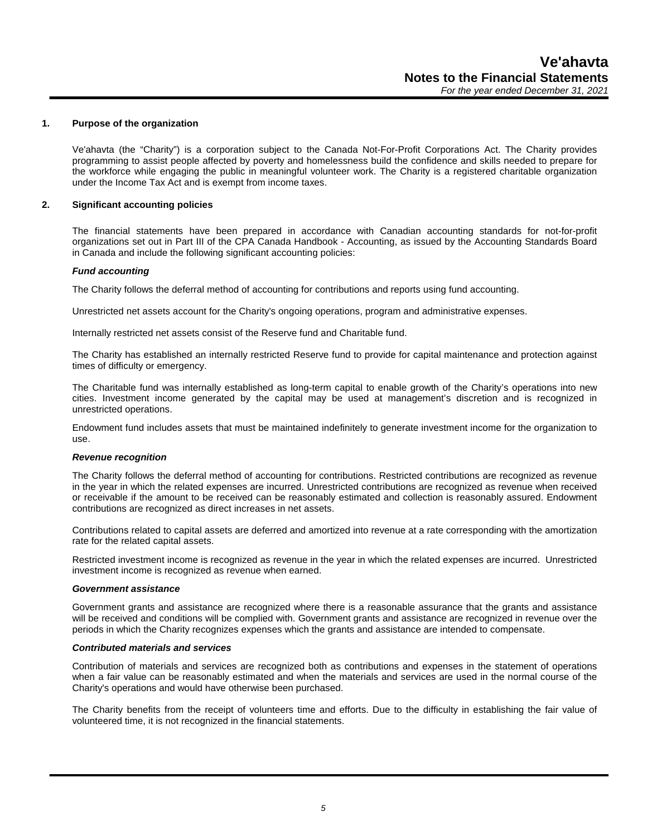#### **1. Purpose of the organization**

Ve'ahavta (the "Charity") is a corporation subject to the Canada Not-For-Profit Corporations Act. The Charity provides programming to assist people affected by poverty and homelessness build the confidence and skills needed to prepare for the workforce while engaging the public in meaningful volunteer work. The Charity is a registered charitable organization under the Income Tax Act and is exempt from income taxes.

#### **2. Significant accounting policies**

The financial statements have been prepared in accordance with Canadian accounting standards for not-for-profit organizations set out in Part III of the CPA Canada Handbook - Accounting, as issued by the Accounting Standards Board in Canada and include the following significant accounting policies:

#### *Fund accounting*

The Charity follows the deferral method of accounting for contributions and reports using fund accounting.

Unrestricted net assets account for the Charity's ongoing operations, program and administrative expenses.

Internally restricted net assets consist of the Reserve fund and Charitable fund.

The Charity has established an internally restricted Reserve fund to provide for capital maintenance and protection against times of difficulty or emergency.

The Charitable fund was internally established as long-term capital to enable growth of the Charity's operations into new cities. Investment income generated by the capital may be used at management's discretion and is recognized in unrestricted operations.

Endowment fund includes assets that must be maintained indefinitely to generate investment income for the organization to use.

#### *Revenue recognition*

The Charity follows the deferral method of accounting for contributions. Restricted contributions are recognized as revenue in the year in which the related expenses are incurred. Unrestricted contributions are recognized as revenue when received or receivable if the amount to be received can be reasonably estimated and collection is reasonably assured. Endowment contributions are recognized as direct increases in net assets.

Contributions related to capital assets are deferred and amortized into revenue at a rate corresponding with the amortization rate for the related capital assets.

Restricted investment income is recognized as revenue in the year in which the related expenses are incurred. Unrestricted investment income is recognized as revenue when earned.

#### *Government assistance*

Government grants and assistance are recognized where there is a reasonable assurance that the grants and assistance will be received and conditions will be complied with. Government grants and assistance are recognized in revenue over the periods in which the Charity recognizes expenses which the grants and assistance are intended to compensate.

#### *Contributed materials and services*

Contribution of materials and services are recognized both as contributions and expenses in the statement of operations when a fair value can be reasonably estimated and when the materials and services are used in the normal course of the Charity's operations and would have otherwise been purchased.

The Charity benefits from the receipt of volunteers time and efforts. Due to the difficulty in establishing the fair value of volunteered time, it is not recognized in the financial statements.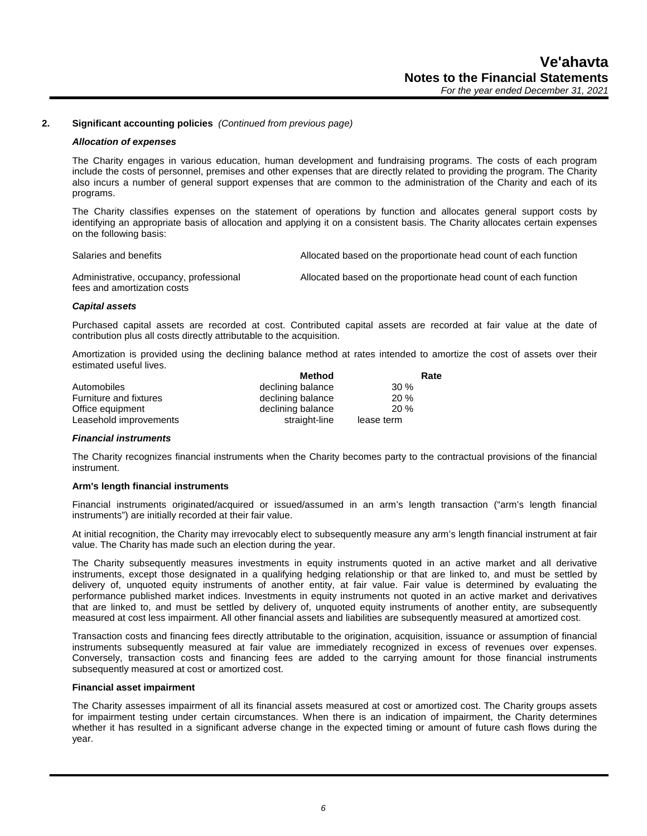#### **2. Significant accounting policies** *(Continued from previous page)*

#### *Allocation of expenses*

The Charity engages in various education, human development and fundraising programs. The costs of each program include the costs of personnel, premises and other expenses that are directly related to providing the program. The Charity also incurs a number of general support expenses that are common to the administration of the Charity and each of its programs.

The Charity classifies expenses on the statement of operations by function and allocates general support costs by identifying an appropriate basis of allocation and applying it on a consistent basis. The Charity allocates certain expenses on the following basis:

Salaries and benefits **Allocated based on the proportionate head count of each function** 

Administrative, occupancy, professional fees and amortization costs Allocated based on the proportionate head count of each function

#### *Capital assets*

Purchased capital assets are recorded at cost. Contributed capital assets are recorded at fair value at the date of contribution plus all costs directly attributable to the acquisition.

Amortization is provided using the declining balance method at rates intended to amortize the cost of assets over their estimated useful lives.

|                        | Method            | Rate       |
|------------------------|-------------------|------------|
| Automobiles            | declining balance | $30\%$     |
| Furniture and fixtures | declining balance | 20%        |
| Office equipment       | declining balance | 20%        |
| Leasehold improvements | straight-line     | lease term |

#### *Financial instruments*

The Charity recognizes financial instruments when the Charity becomes party to the contractual provisions of the financial instrument.

#### **Arm's length financial instruments**

Financial instruments originated/acquired or issued/assumed in an arm's length transaction ("arm's length financial instruments") are initially recorded at their fair value.

At initial recognition, the Charity may irrevocably elect to subsequently measure any arm's length financial instrument at fair value. The Charity has made such an election during the year.

The Charity subsequently measures investments in equity instruments quoted in an active market and all derivative instruments, except those designated in a qualifying hedging relationship or that are linked to, and must be settled by delivery of, unquoted equity instruments of another entity, at fair value. Fair value is determined by evaluating the performance published market indices. Investments in equity instruments not quoted in an active market and derivatives that are linked to, and must be settled by delivery of, unquoted equity instruments of another entity, are subsequently measured at cost less impairment. All other financial assets and liabilities are subsequently measured at amortized cost.

Transaction costs and financing fees directly attributable to the origination, acquisition, issuance or assumption of financial instruments subsequently measured at fair value are immediately recognized in excess of revenues over expenses. Conversely, transaction costs and financing fees are added to the carrying amount for those financial instruments subsequently measured at cost or amortized cost.

#### **Financial asset impairment**

The Charity assesses impairment of all its financial assets measured at cost or amortized cost. The Charity groups assets for impairment testing under certain circumstances. When there is an indication of impairment, the Charity determines whether it has resulted in a significant adverse change in the expected timing or amount of future cash flows during the year.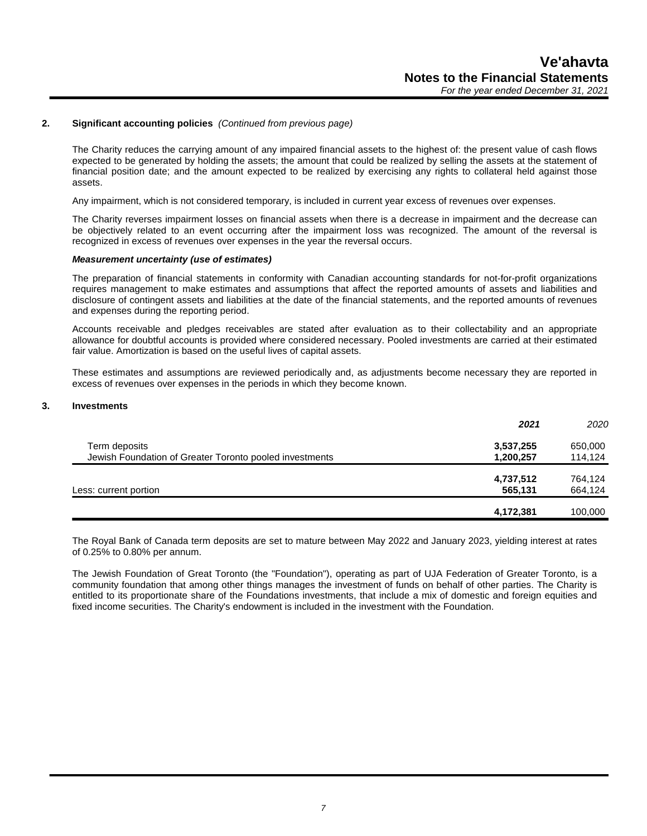# **2. Significant accounting policies** *(Continued from previous page)*

The Charity reduces the carrying amount of any impaired financial assets to the highest of: the present value of cash flows expected to be generated by holding the assets; the amount that could be realized by selling the assets at the statement of financial position date; and the amount expected to be realized by exercising any rights to collateral held against those assets.

Any impairment, which is not considered temporary, is included in current year excess of revenues over expenses.

The Charity reverses impairment losses on financial assets when there is a decrease in impairment and the decrease can be objectively related to an event occurring after the impairment loss was recognized. The amount of the reversal is recognized in excess of revenues over expenses in the year the reversal occurs.

#### *Measurement uncertainty (use of estimates)*

The preparation of financial statements in conformity with Canadian accounting standards for not-for-profit organizations requires management to make estimates and assumptions that affect the reported amounts of assets and liabilities and disclosure of contingent assets and liabilities at the date of the financial statements, and the reported amounts of revenues and expenses during the reporting period.

Accounts receivable and pledges receivables are stated after evaluation as to their collectability and an appropriate allowance for doubtful accounts is provided where considered necessary. Pooled investments are carried at their estimated fair value. Amortization is based on the useful lives of capital assets.

These estimates and assumptions are reviewed periodically and, as adjustments become necessary they are reported in excess of revenues over expenses in the periods in which they become known.

#### **3. Investments**

|                                                         | 2021      | 2020    |
|---------------------------------------------------------|-----------|---------|
| Term deposits                                           | 3,537,255 | 650,000 |
| Jewish Foundation of Greater Toronto pooled investments | 1,200,257 | 114,124 |
|                                                         | 4,737,512 | 764,124 |
| Less: current portion                                   | 565,131   | 664,124 |
|                                                         |           |         |
|                                                         | 4,172,381 | 100,000 |

The Royal Bank of Canada term deposits are set to mature between May 2022 and January 2023, yielding interest at rates of 0.25% to 0.80% per annum.

The Jewish Foundation of Great Toronto (the "Foundation"), operating as part of UJA Federation of Greater Toronto, is a community foundation that among other things manages the investment of funds on behalf of other parties. The Charity is entitled to its proportionate share of the Foundations investments, that include a mix of domestic and foreign equities and fixed income securities. The Charity's endowment is included in the investment with the Foundation.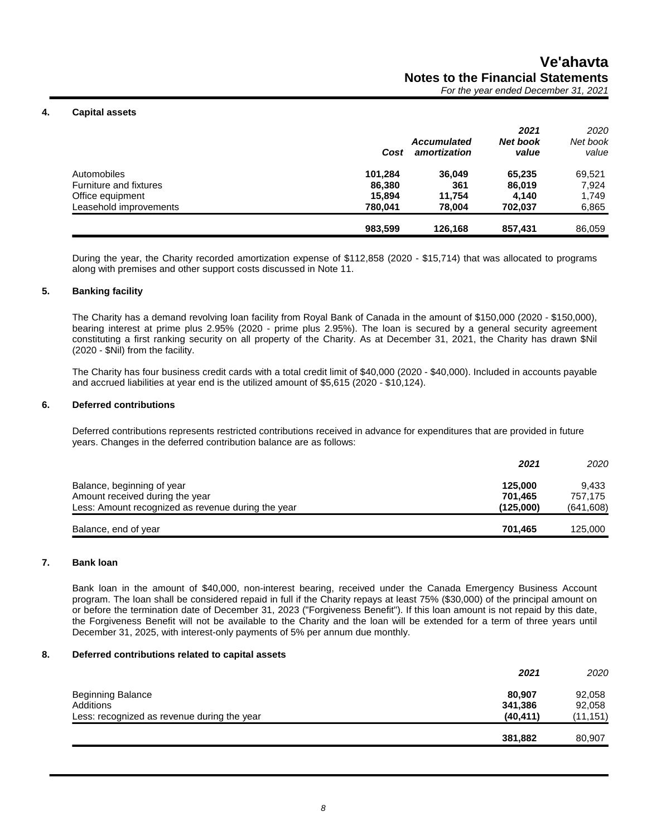#### **4. Capital assets**

|                        | Cost    | <b>Accumulated</b><br>amortization | 2021<br><b>Net book</b><br>value | 2020<br>Net book<br>value |
|------------------------|---------|------------------------------------|----------------------------------|---------------------------|
| Automobiles            | 101.284 | 36.049                             | 65.235                           | 69,521                    |
| Furniture and fixtures | 86,380  | 361                                | 86.019                           | 7,924                     |
| Office equipment       | 15.894  | 11.754                             | 4.140                            | 1,749                     |
| Leasehold improvements | 780.041 | 78.004                             | 702.037                          | 6,865                     |
|                        | 983,599 | 126.168                            | 857,431                          | 86,059                    |

During the year, the Charity recorded amortization expense of \$112,858 (2020 - \$15,714) that was allocated to programs along with premises and other support costs discussed in Note 11.

### **5. Banking facility**

The Charity has a demand revolving loan facility from Royal Bank of Canada in the amount of \$150,000 (2020 - \$150,000), bearing interest at prime plus 2.95% (2020 - prime plus 2.95%). The loan is secured by a general security agreement constituting a first ranking security on all property of the Charity. As at December 31, 2021, the Charity has drawn \$Nil (2020 - \$Nil) from the facility.

The Charity has four business credit cards with a total credit limit of \$40,000 (2020 - \$40,000). Included in accounts payable and accrued liabilities at year end is the utilized amount of \$5,615 (2020 - \$10,124).

#### **6. Deferred contributions**

Deferred contributions represents restricted contributions received in advance for expenditures that are provided in future years. Changes in the deferred contribution balance are as follows:

|                                                    | 2021      | 2020       |
|----------------------------------------------------|-----------|------------|
| Balance, beginning of year                         | 125,000   | 9.433      |
| Amount received during the year                    | 701.465   | 757.175    |
| Less: Amount recognized as revenue during the year | (125,000) | (641, 608) |
| Balance, end of year                               | 701.465   | 125,000    |

#### **7. Bank loan**

Bank loan in the amount of \$40,000, non-interest bearing, received under the Canada Emergency Business Account program. The loan shall be considered repaid in full if the Charity repays at least 75% (\$30,000) of the principal amount on or before the termination date of December 31, 2023 ("Forgiveness Benefit"). If this loan amount is not repaid by this date, the Forgiveness Benefit will not be available to the Charity and the loan will be extended for a term of three years until December 31, 2025, with interest-only payments of 5% per annum due monthly.

#### **8. Deferred contributions related to capital assets**

|                                             | 2021      | 2020      |
|---------------------------------------------|-----------|-----------|
| <b>Beginning Balance</b>                    | 80,907    | 92,058    |
| Additions                                   | 341,386   | 92,058    |
| Less: recognized as revenue during the year | (40, 411) | (11, 151) |
|                                             | 381,882   | 80,907    |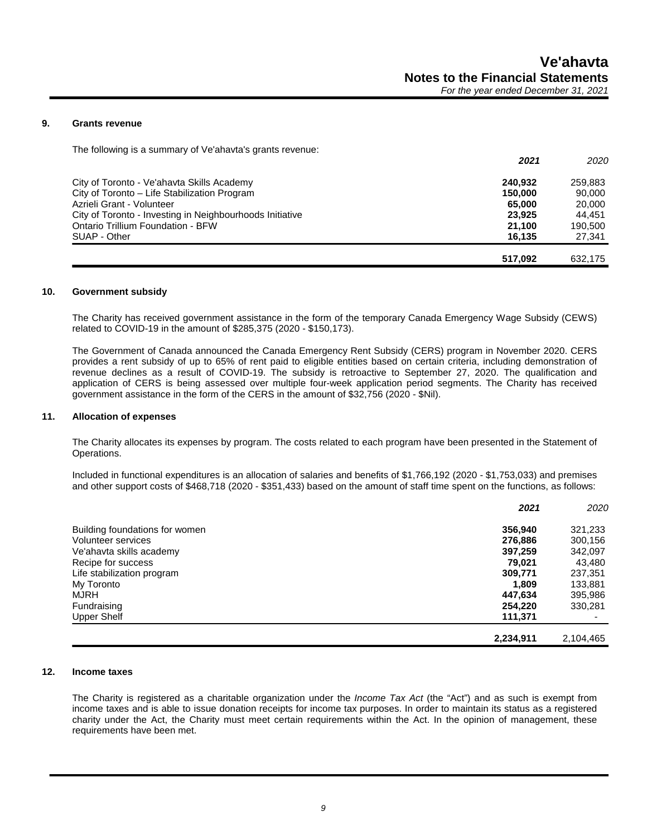#### **9. Grants revenue**

The following is a summary of Ve'ahavta's grants revenue:

|                                                          | 2021    | 2020    |
|----------------------------------------------------------|---------|---------|
| City of Toronto - Ve'ahavta Skills Academy               | 240.932 | 259.883 |
| City of Toronto – Life Stabilization Program             | 150,000 | 90,000  |
| Azrieli Grant - Volunteer                                | 65.000  | 20,000  |
| City of Toronto - Investing in Neighbourhoods Initiative | 23.925  | 44.451  |
| Ontario Trillium Foundation - BFW                        | 21.100  | 190,500 |
| SUAP - Other                                             | 16.135  | 27,341  |
|                                                          | 517.092 | 632.175 |

#### **10. Government subsidy**

The Charity has received government assistance in the form of the temporary Canada Emergency Wage Subsidy (CEWS) related to COVID-19 in the amount of \$285,375 (2020 - \$150,173).

The Government of Canada announced the Canada Emergency Rent Subsidy (CERS) program in November 2020. CERS provides a rent subsidy of up to 65% of rent paid to eligible entities based on certain criteria, including demonstration of revenue declines as a result of COVID-19. The subsidy is retroactive to September 27, 2020. The qualification and application of CERS is being assessed over multiple four-week application period segments. The Charity has received government assistance in the form of the CERS in the amount of \$32,756 (2020 - \$Nil).

#### **11. Allocation of expenses**

The Charity allocates its expenses by program. The costs related to each program have been presented in the Statement of Operations.

Included in functional expenditures is an allocation of salaries and benefits of \$1,766,192 (2020 - \$1,753,033) and premises and other support costs of \$468,718 (2020 - \$351,433) based on the amount of staff time spent on the functions, as follows:

|                                | 2021      | 2020      |
|--------------------------------|-----------|-----------|
| Building foundations for women | 356,940   | 321,233   |
| Volunteer services             | 276,886   | 300,156   |
| Ve'ahavta skills academy       | 397,259   | 342,097   |
| Recipe for success             | 79.021    | 43,480    |
| Life stabilization program     | 309,771   | 237,351   |
| My Toronto                     | 1,809     | 133,881   |
| <b>MJRH</b>                    | 447,634   | 395,986   |
| Fundraising                    | 254,220   | 330,281   |
| <b>Upper Shelf</b>             | 111.371   |           |
|                                | 2,234,911 | 2,104,465 |

#### **12. Income taxes**

The Charity is registered as a charitable organization under the *Income Tax Act* (the "Act") and as such is exempt from income taxes and is able to issue donation receipts for income tax purposes. In order to maintain its status as a registered charity under the Act, the Charity must meet certain requirements within the Act. In the opinion of management, these requirements have been met.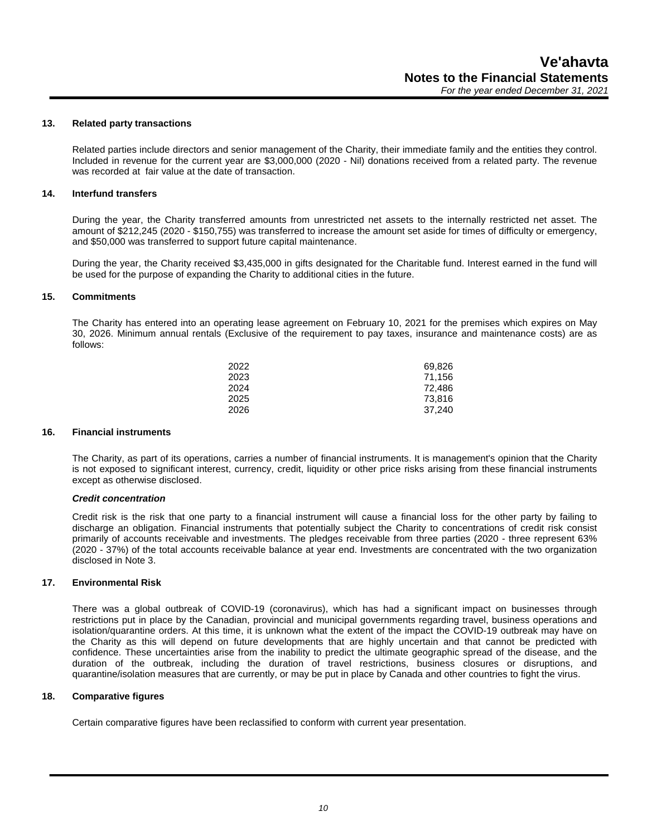#### **13. Related party transactions**

Related parties include directors and senior management of the Charity, their immediate family and the entities they control. Included in revenue for the current year are \$3,000,000 (2020 - Nil) donations received from a related party. The revenue was recorded at fair value at the date of transaction.

#### **14. Interfund transfers**

During the year, the Charity transferred amounts from unrestricted net assets to the internally restricted net asset. The amount of \$212,245 (2020 - \$150,755) was transferred to increase the amount set aside for times of difficulty or emergency, and \$50,000 was transferred to support future capital maintenance.

During the year, the Charity received \$3,435,000 in gifts designated for the Charitable fund. Interest earned in the fund will be used for the purpose of expanding the Charity to additional cities in the future.

#### **15. Commitments**

The Charity has entered into an operating lease agreement on February 10, 2021 for the premises which expires on May 30, 2026. Minimum annual rentals (Exclusive of the requirement to pay taxes, insurance and maintenance costs) are as follows:

| 2022 | 69,826 |
|------|--------|
| 2023 | 71,156 |
| 2024 | 72,486 |
| 2025 | 73.816 |
| 2026 | 37,240 |
|      |        |

#### **16. Financial instruments**

The Charity, as part of its operations, carries a number of financial instruments. It is management's opinion that the Charity is not exposed to significant interest, currency, credit, liquidity or other price risks arising from these financial instruments except as otherwise disclosed.

#### *Credit concentration*

Credit risk is the risk that one party to a financial instrument will cause a financial loss for the other party by failing to discharge an obligation. Financial instruments that potentially subject the Charity to concentrations of credit risk consist primarily of accounts receivable and investments. The pledges receivable from three parties (2020 - three represent 63% (2020 - 37%) of the total accounts receivable balance at year end. Investments are concentrated with the two organization disclosed in Note 3.

#### **17. Environmental Risk**

There was a global outbreak of COVID-19 (coronavirus), which has had a significant impact on businesses through restrictions put in place by the Canadian, provincial and municipal governments regarding travel, business operations and isolation/quarantine orders. At this time, it is unknown what the extent of the impact the COVID-19 outbreak may have on the Charity as this will depend on future developments that are highly uncertain and that cannot be predicted with confidence. These uncertainties arise from the inability to predict the ultimate geographic spread of the disease, and the duration of the outbreak, including the duration of travel restrictions, business closures or disruptions, and quarantine/isolation measures that are currently, or may be put in place by Canada and other countries to fight the virus.

#### **18. Comparative figures**

Certain comparative figures have been reclassified to conform with current year presentation.